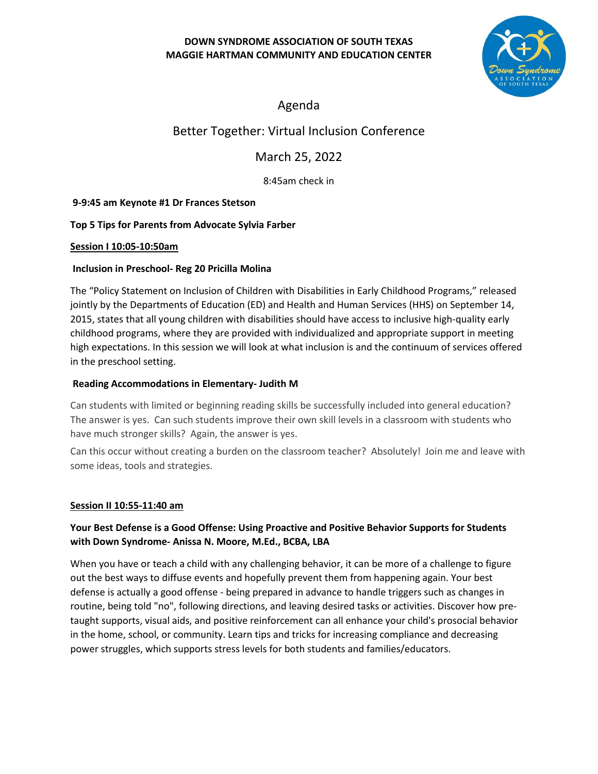## **DOWN SYNDROME ASSOCIATION OF SOUTH TEXAS MAGGIE HARTMAN COMMUNITY AND EDUCATION CENTER**



Agenda

# Better Together: Virtual Inclusion Conference

March 25, 2022

8:45am check in

## **9-9:45 am Keynote #1 Dr Frances Stetson**

## **Top 5 Tips for Parents from Advocate Sylvia Farber**

#### **Session I 10:05-10:50am**

## **Inclusion in Preschool- Reg 20 Pricilla Molina**

The "Policy Statement on Inclusion of Children with Disabilities in Early Childhood Programs," released jointly by the Departments of Education (ED) and Health and Human Services (HHS) on September 14, 2015, states that all young children with disabilities should have access to inclusive high-quality early childhood programs, where they are provided with individualized and appropriate support in meeting high expectations. In this session we will look at what inclusion is and the continuum of services offered in the preschool setting.

### **Reading Accommodations in Elementary- Judith M**

Can students with limited or beginning reading skills be successfully included into general education? The answer is yes. Can such students improve their own skill levels in a classroom with students who have much stronger skills? Again, the answer is yes.

Can this occur without creating a burden on the classroom teacher? Absolutely! Join me and leave with some ideas, tools and strategies.

#### **Session II 10:55-11:40 am**

## **Your Best Defense is a Good Offense: Using Proactive and Positive Behavior Supports for Students with Down Syndrome- Anissa N. Moore, M.Ed., BCBA, LBA**

When you have or teach a child with any challenging behavior, it can be more of a challenge to figure out the best ways to diffuse events and hopefully prevent them from happening again. Your best defense is actually a good offense - being prepared in advance to handle triggers such as changes in routine, being told "no", following directions, and leaving desired tasks or activities. Discover how pretaught supports, visual aids, and positive reinforcement can all enhance your child's prosocial behavior in the home, school, or community. Learn tips and tricks for increasing compliance and decreasing power struggles, which supports stress levels for both students and families/educators.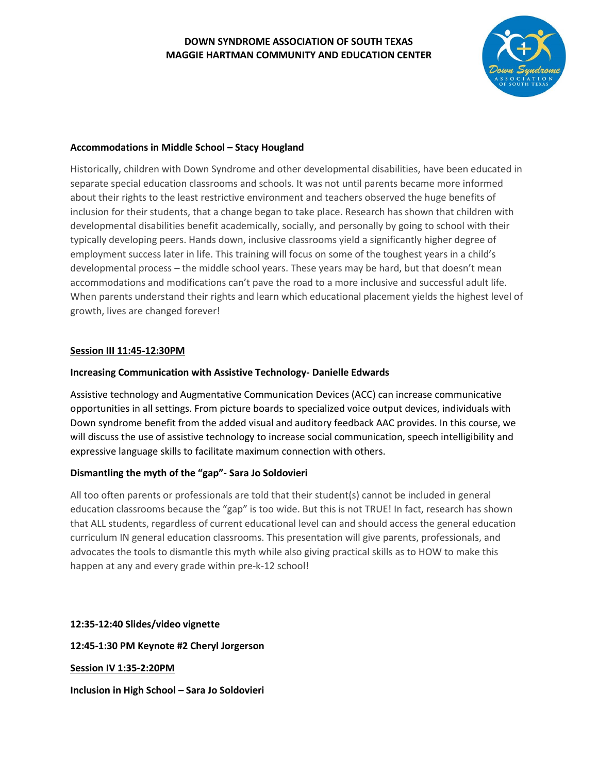### **DOWN SYNDROME ASSOCIATION OF SOUTH TEXAS MAGGIE HARTMAN COMMUNITY AND EDUCATION CENTER**



#### **Accommodations in Middle School – Stacy Hougland**

Historically, children with Down Syndrome and other developmental disabilities, have been educated in separate special education classrooms and schools. It was not until parents became more informed about their rights to the least restrictive environment and teachers observed the huge benefits of inclusion for their students, that a change began to take place. Research has shown that children with developmental disabilities benefit academically, socially, and personally by going to school with their typically developing peers. Hands down, inclusive classrooms yield a significantly higher degree of employment success later in life. This training will focus on some of the toughest years in a child's developmental process – the middle school years. These years may be hard, but that doesn't mean accommodations and modifications can't pave the road to a more inclusive and successful adult life. When parents understand their rights and learn which educational placement yields the highest level of growth, lives are changed forever!

#### **Session III 11:45-12:30PM**

#### **Increasing Communication with Assistive Technology- Danielle Edwards**

Assistive technology and Augmentative Communication Devices (ACC) can increase communicative opportunities in all settings. From picture boards to specialized voice output devices, individuals with Down syndrome benefit from the added visual and auditory feedback AAC provides. In this course, we will discuss the use of assistive technology to increase social communication, speech intelligibility and expressive language skills to facilitate maximum connection with others.

#### **Dismantling the myth of the "gap"- Sara Jo Soldovieri**

All too often parents or professionals are told that their student(s) cannot be included in general education classrooms because the "gap" is too wide. But this is not TRUE! In fact, research has shown that ALL students, regardless of current educational level can and should access the general education curriculum IN general education classrooms. This presentation will give parents, professionals, and advocates the tools to dismantle this myth while also giving practical skills as to HOW to make this happen at any and every grade within pre-k-12 school!

#### **12:35-12:40 Slides/video vignette**

**12:45-1:30 PM Keynote #2 Cheryl Jorgerson** 

**Session IV 1:35-2:20PM**

**Inclusion in High School – Sara Jo Soldovieri**